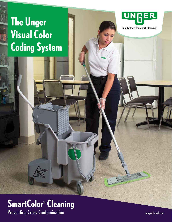# **The Unger Visual Color Coding System**



Quality Tools for Smart Cleaning™

### **SmartColor<sup>™</sup> Cleaning** Preventing Cross-Contamination

**Tigas** 

ungerglobal.com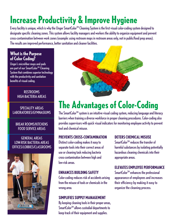# **Increase Productivity & Improve Hygiene**

Every facility is unique, which is why the Unger SmartColor<sup>™</sup> Cleaning System is the first visual color-coding system designed to designate specific cleaning zones. This system allows facility managers and workers the ability to organize equipment and prevent cross-contamination between work zones (example: using restroom mops in restroom areas only, not in public/food prep areas). The results are improved performance, better sanitation and cleaner facilities.

### **What is the Purpose of Color Coding?**

Unger's microfiber mops and pads are part of our SmartColor™ Cleaning System that combines superior technology with the productivity and sanitation benefits of visual coding.

#### RESTROOMS HIGH-BACTERIA AREAS

#### SPECIALITY AREAS LABORATORIES/GYMNASIUMS

#### BREAK ROOMS/KITCHENS FOOD SERVICE AREAS

#### GENERAL AREAS LOW-RISK BACTERIA AREAS OFFICES/LOBBIES/CLASSROOMS





## **The Advantages of Color-Coding**

The SmartColor<sup>™</sup> system is an intuitive visual coding system, reducing language and literacy barriers when training a diverse workforce in proper cleaning procedures. Color-coding also provides supervisors with quick visual indicators for monitoring employee activity to prevent tool and chemical misuse.

#### **PREVENTS CROSS-CONTAMINATION**

Distinct color-coding makes it easy to separate tools into their correct areas of use or cleaning task reducing bacteria cross-contamination between high and low-risk areas.

#### **ENHANCES BUILDING SAFETY**

Color-coding reduces risk of accidents arising from the misuse of tools or chemicals in the wrong area.

#### **SIMPLIFIES SUPPLY MANAGEMENT**

By keeping cleaning tools in their proper areas, SmartColor<sup>™</sup> allows custodial departments to keep track of their equipment and supplies.

#### **DETERS CHEMICAL MISUSE**

 $S<sub>mart</sub>Color<sup>TM</sup> reduces the transfer of$ harmful substances by isolating potentially hazardous cleaning chemicals into their appropriate areas.

#### **ELEVATES EMPLOYEE PERFORMANCE**

 $S$ martColor<sup>™</sup> enhances the professional appearance of employees and increases their efficiency by making it easy to organize the cleaning process.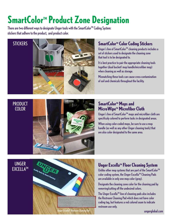## **SmartColor<sup>™</sup> Product Zone Designation**

There are two different ways to designate Unger tools with the SmartColor™ Coding System: stickers that adhere to the product, and product color.



Unger's line of SmartColor<sup>™</sup> cleaning products includes a set of stickers used to designate the cleaning zone that tool is to be designated to.

It is best practice to pair the appropriate cleaning tools together (dual bucket/ mop handle/microfiber mop) when cleaning as well as storage.

Mismatching these tools can cause cross-contamination of soil and chemicals throughout the facility.

#### PRODUCT **COLOR**



#### **SmartColor<sup>™</sup> Mops and MicroWipeTM Microfiber Cloth**

Unger's line of SmartColor<sup>™</sup> mops and microfiber cloth are specificaly colored to perform tasks in designated areas.

When using color-coded mops, be sure to use a mop handle (as well as any other Unger cleaning tools) that are also color designated to the same area.

#### UNGER **EXCELLATM**



### **Unger Excella™ Floor Cleaning System**

Unlike other mop systems that are part of the SmartColor<sup>™</sup> color coding system, the Unger Excella™ Cleaning Pads are available in only one mop color (gray).

Designate the cleaning zone color for the cleaning pad by removing/cutting off the undesired colors.

The Unger Excella<sup>™</sup> line of cleaning pads also includes the Restroom Cleaning Pad which does not have color coding tag, but features a red colored seam to indicate restroom use only.

ungerglobal.com